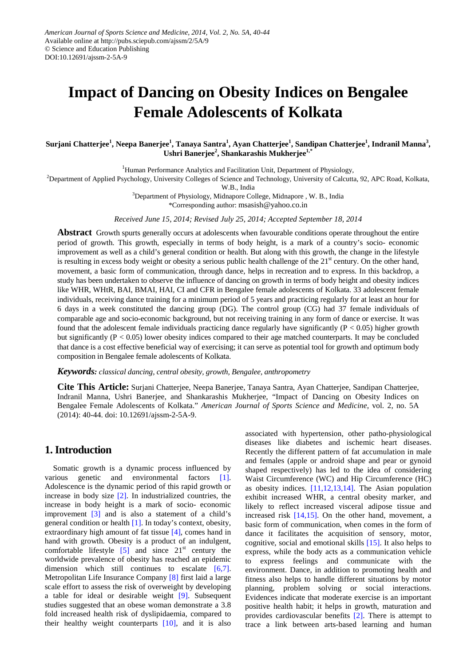# **Impact of Dancing on Obesity Indices on Bengalee Female Adolescents of Kolkata**

Surjani Chatterjee<sup>1</sup>, Neepa Banerjee<sup>1</sup>, Tanaya Santra<sup>1</sup>, Ayan Chatterjee<sup>1</sup>, Sandipan Chatterjee<sup>1</sup>, Indranil Manna<sup>3</sup>, **Ushri Banerjee<sup>2</sup> , Shankarashis Mukherjee1,\***

<sup>1</sup>Human Performance Analytics and Facilitation Unit, Department of Physiology,

<sup>2</sup>Department of Applied Psychology, University Colleges of Science and Technology, University of Calcutta, 92, APC Road, Kolkata,

W.B., India

<sup>3</sup>Department of Physiology, Midnapore College, Midnapore, W. B., India

\*Corresponding author: msasish@yahoo.co.in

*Received June 15, 2014; Revised July 25, 2014; Accepted September 18, 2014*

**Abstract** Growth spurts generally occurs at adolescents when favourable conditions operate throughout the entire period of growth. This growth, especially in terms of body height, is a mark of a country's socio- economic improvement as well as a child's general condition or health. But along with this growth, the change in the lifestyle is resulting in excess body weight or obesity a serious public health challenge of the  $21<sup>st</sup>$  century. On the other hand, movement, a basic form of communication, through dance, helps in recreation and to express. In this backdrop, a study has been undertaken to observe the influence of dancing on growth in terms of body height and obesity indices like WHR, WHtR, BAI, BMAI, HAI, CI and CFR in Bengalee female adolescents of Kolkata. 33 adolescent female individuals, receiving dance training for a minimum period of 5 years and practicing regularly for at least an hour for 6 days in a week constituted the dancing group (DG). The control group (CG) had 37 female individuals of comparable age and socio-economic background, but not receiving training in any form of dance or exercise. It was found that the adolescent female individuals practicing dance regularly have significantly  $(P < 0.05)$  higher growth but significantly ( $P < 0.05$ ) lower obesity indices compared to their age matched counterparts. It may be concluded that dance is a cost effective beneficial way of exercising; it can serve as potential tool for growth and optimum body composition in Bengalee female adolescents of Kolkata.

*Keywords: classical dancing, central obesity, growth, Bengalee, anthropometry*

**Cite This Article:** Surjani Chatterjee, Neepa Banerjee, Tanaya Santra, Ayan Chatterjee, Sandipan Chatterjee, Indranil Manna, Ushri Banerjee, and Shankarashis Mukherjee, "Impact of Dancing on Obesity Indices on Bengalee Female Adolescents of Kolkata." *American Journal of Sports Science and Medicine*, vol. 2, no. 5A (2014): 40-44. doi: 10.12691/ajssm-2-5A-9.

## **1.Introduction**

Somatic growth is a dynamic process influenced by various genetic and environmental factors [\[1\].](#page-3-0) Adolescence is the dynamic period of this rapid growth or increase in body size [\[2\].](#page-3-1) In industrialized countries, the increase in body height is a mark of socio- economic improvement [\[3\]](#page-3-2) and is also a statement of a child's general condition or health [\[1\].](#page-3-0) In today's context, obesity, extraordinary high amount of fat tissue [\[4\],](#page-3-3) comes hand in hand with growth. Obesity is a product of an indulgent, comfortable lifestyle  $\begin{bmatrix} 5 \end{bmatrix}$  and since  $21^{st}$  century the worldwide prevalence of obesity has reached an epidemic dimension which still continues to escalate [\[6,7\].](#page-3-5) Metropolitan Life Insurance Company [\[8\]](#page-3-6) first laid a large scale effort to assess the risk of overweight by developing a table for ideal or desirable weight [\[9\].](#page-3-7) Subsequent studies suggested that an obese woman demonstrate a 3.8 fold increased health risk of dyslipidaemia, compared to their healthy weight counterparts  $[10]$ , and it is also associated with hypertension, other patho-physiological diseases like diabetes and ischemic heart diseases. Recently the different pattern of fat accumulation in male and females (apple or android shape and pear or gynoid shaped respectively) has led to the idea of considering Waist Circumference (WC) and Hip Circumference (HC) as obesity indices.  $[11,12,13,14]$ . The Asian population exhibit increased WHR, a central obesity marker, and likely to reflect increased visceral adipose tissue and increased risk [\[14,15\].](#page-3-10) On the other hand, movement, a basic form of communication, when comes in the form of dance it facilitates the acquisition of sensory, motor, cognitive, social and emotional skills [\[15\].](#page-3-11) It also helps to express, while the body acts as a communication vehicle to express feelings and communicate with the environment. Dance, in addition to promoting health and fitness also helps to handle different situations by motor planning, problem solving or social interactions. Evidences indicate that moderate exercise is an important positive health habit; it helps in growth, maturation and provides cardiovascular benefits [\[2\].](#page-3-1) There is attempt to trace a link between arts-based learning and human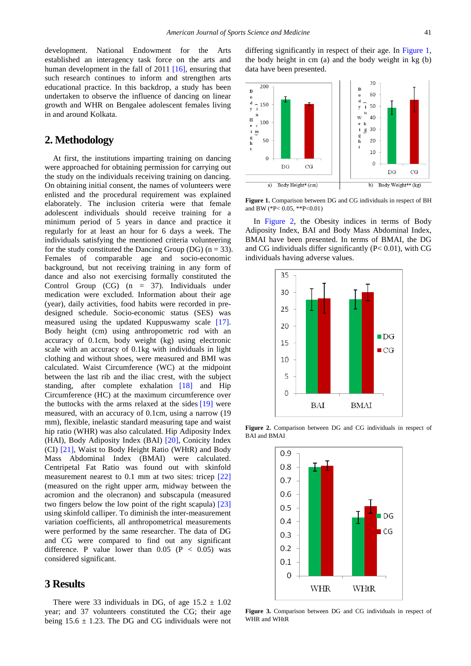development. National Endowment for the Arts established an interagency task force on the arts and human development in the fall of 2011 [\[16\],](#page-3-12) ensuring that such research continues to inform and strengthen arts educational practice. In this backdrop, a study has been undertaken to observe the influence of dancing on linear growth and WHR on Bengalee adolescent females living in and around Kolkata.

#### **2. Methodology**

At first, the institutions imparting training on dancing were approached for obtaining permission for carrying out the study on the individuals receiving training on dancing. On obtaining initial consent, the names of volunteers were enlisted and the procedural requirement was explained elaborately. The inclusion criteria were that female adolescent individuals should receive training for a minimum period of 5 years in dance and practice it regularly for at least an hour for 6 days a week. The individuals satisfying the mentioned criteria volunteering for the study constituted the Dancing Group (DG) ( $n = 33$ ). Females of comparable age and socio-economic background, but not receiving training in any form of dance and also not exercising formally constituted the Control Group (CG) (n = 37). Individuals under medication were excluded. Information about their age (year), daily activities, food habits were recorded in predesigned schedule. Socio-economic status (SES) was measured using the updated Kuppuswamy scale [\[17\].](#page-3-13) Body height (cm) using anthropometric rod with an accuracy of 0.1cm, body weight (kg) using electronic scale with an accuracy of 0.1kg with individuals in light clothing and without shoes, were measured and BMI was calculated. Waist Circumference (WC) at the midpoint between the last rib and the iliac crest, with the subject standing, after complete exhalation [\[18\]](#page-3-14) and Hip Circumference (HC) at the maximum circumference over the buttocks with the arms relaxed at the sides [\[19\]](#page-3-15) were measured, with an accuracy of 0.1cm, using a narrow (19 mm), flexible, inelastic standard measuring tape and waist hip ratio (WHR) was also calculated. Hip Adiposity Index (HAI), Body Adiposity Index (BAI) [\[20\],](#page-3-16) Conicity Index (CI) [\[21\],](#page-3-17) Waist to Body Height Ratio (WHtR) and Body Mass Abdominal Index (BMAI) were calculated. Centripetal Fat Ratio was found out with skinfold measurement nearest to 0.1 mm at two sites: tricep [\[22\]](#page-3-18) (measured on the right upper arm, midway between the acromion and the olecranon) and subscapula (measured two fingers below the low point of the right scapula) [\[23\]](#page-3-19) using skinfold calliper. To diminish the inter-measurement variation coefficients, all anthropometrical measurements were performed by the same researcher. The data of DG and CG were compared to find out any significant difference. P value lower than  $0.05$  (P < 0.05) was considered significant.

#### **3 Results**

There were 33 individuals in DG, of age  $15.2 \pm 1.02$ year; and 37 volunteers constituted the CG; their age being  $15.6 \pm 1.23$ . The DG and CG individuals were not differing significantly in respect of their age. In [Figure 1,](#page-1-0) the body height in cm (a) and the body weight in kg (b) data have been presented.

<span id="page-1-0"></span>

**Figure 1.** Comparison between DG and CG individuals in respect of BH and BW (\*P< 0.05, \*\*P<0.01)

In [Figure 2,](#page-1-1) the Obesity indices in terms of Body Adiposity Index, BAI and Body Mass Abdominal Index, BMAI have been presented. In terms of BMAI, the DG and CG individuals differ significantly  $(P< 0.01)$ , with CG individuals having adverse values.

<span id="page-1-1"></span>

<span id="page-1-2"></span>**Figure 2.** Comparison between DG and CG individuals in respect of BAI and BMAI



**Figure 3.** Comparison between DG and CG individuals in respect of WHR and WHtR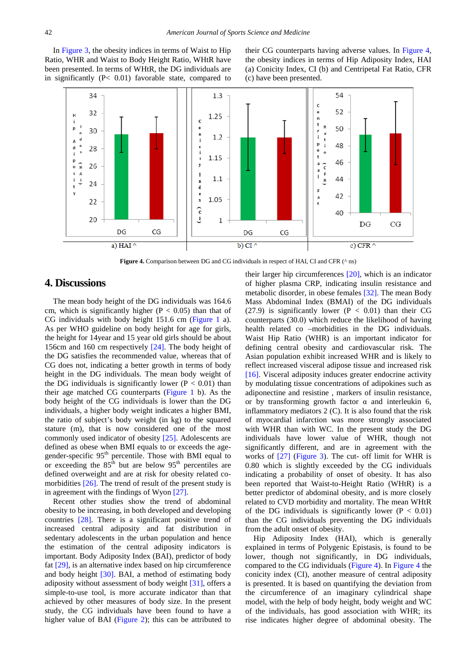In [Figure 3,](#page-1-2) the obesity indices in terms of Waist to Hip Ratio, WHR and Waist to Body Height Ratio, WHtR have been presented. In terms of WHtR, the DG individuals are in significantly (P< 0.01) favorable state, compared to their CG counterparts having adverse values. In [Figure 4,](#page-2-0) the obesity indices in terms of Hip Adiposity Index, HAI (a) Conicity Index, CI (b) and Centripetal Fat Ratio, CFR (c) have been presented.

<span id="page-2-0"></span>

**Figure 4.** Comparison between DG and CG individuals in respect of HAI, CI and CFR (^ ns)

#### **4. Discussions**

The mean body height of the DG individuals was 164.6 cm, which is significantly higher ( $P < 0.05$ ) than that of CG individuals with body height 151.6 cm [\(Figure 1](#page-1-0) a). As per WHO guideline on body height for age for girls, the height for 14year and 15 year old girls should be about 156cm and 160 cm respectively [\[24\].](#page-3-20) The body height of the DG satisfies the recommended value, whereas that of CG does not, indicating a better growth in terms of body height in the DG individuals. The mean body weight of the DG individuals is significantly lower ( $P < 0.01$ ) than their age matched CG counterparts [\(Figure 1](#page-1-0) b). As the body height of the CG individuals is lower than the DG individuals, a higher body weight indicates a higher BMI, the ratio of subject's body weight (in kg) to the squared stature (m), that is now considered one of the most commonly used indicator of obesity [\[25\].](#page-3-21) Adolescents are defined as obese when BMI equals to or exceeds the agegender-specific 95<sup>th</sup> percentile. Those with BMI equal to or exceeding the  $85<sup>th</sup>$  but are below  $95<sup>th</sup>$  percentiles are defined overweight and are at risk for obesity related comorbidities  $[26]$ . The trend of result of the present study is in agreement with the findings of Wyon [\[27\].](#page-3-23)

Recent other studies show the trend of abdominal obesity to be increasing, in both developed and developing countries [\[28\].](#page-4-0) There is a significant positive trend of increased central adiposity and fat distribution in sedentary adolescents in the urban population and hence the estimation of the central adiposity indicators is important. Body Adiposity Index (BAI), predictor of body fat [\[29\],](#page-4-1) is an alternative index based on hip circumference and body height [\[30\].](#page-4-2) BAI, a method of estimating body adiposity without assessment of body weight [\[31\],](#page-4-3) offers a simple-to-use tool, is more accurate indicator than that achieved by other measures of body size. In the present study, the CG individuals have been found to have a higher value of BAI [\(Figure 2\)](#page-1-1); this can be attributed to

their larger hip circumferences [\[20\],](#page-3-16) which is an indicator of higher plasma CRP, indicating insulin resistance and metabolic disorder, in obese females [\[32\].](#page-4-4) The mean Body Mass Abdominal Index (BMAI) of the DG individuals (27.9) is significantly lower ( $P < 0.01$ ) than their CG counterparts (30.0) which reduce the likelihood of having health related co –morbidities in the DG individuals. Waist Hip Ratio (WHR) is an important indicator for defining central obesity and cardiovascular risk. The Asian population exhibit increased WHR and is likely to reflect increased visceral adipose tissue and increased risk [\[16\].](#page-3-12) Visceral adiposity induces greater endocrine activity by modulating tissue concentrations of adipokines such as adiponectine and resistine , markers of insulin resistance, or by transforming growth factor  $\alpha$  and interleukin 6, inflammatory mediators 2 (C). It is also found that the risk of myocardial infarction was more strongly associated with WHR than with WC. In the present study the DG individuals have lower value of WHR, though not significantly different, and are in agreement with the works of [\[27\]](#page-3-23) [\(Figure 3\)](#page-1-2). The cut- off limit for WHR is 0.80 which is slightly exceeded by the CG individuals indicating a probability of onset of obesity. It has also been reported that Waist-to-Height Ratio (WHtR) is a better predictor of abdominal obesity, and is more closely related to CVD morbidity and mortality. The mean WHtR of the DG individuals is significantly lower ( $P < 0.01$ ) than the CG individuals preventing the DG individuals from the adult onset of obesity.

Hip Adiposity Index (HAI), which is generally explained in terms of Polygenic Epistasis, is found to be lower, though not significantly, in DG individuals, compared to the CG individuals [\(Figure 4\)](#page-2-0). In [Figure 4](#page-2-0) the conicity index (CI), another measure of central adiposity is presented. It is based on quantifying the deviation from the circumference of an imaginary cylindrical shape model, with the help of body height, body weight and WC of the individuals, has good association with WHR; its rise indicates higher degree of abdominal obesity. The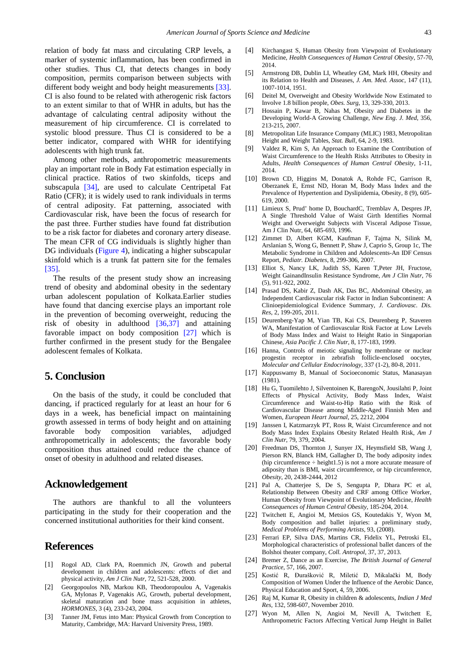relation of body fat mass and circulating CRP levels, a marker of systemic inflammation, has been confirmed in other studies. Thus CI, that detects changes in body composition, permits comparison between subjects with different body weight and body height measurements [\[33\].](#page-4-5) CI is also found to be related with atherogenic risk factors to an extent similar to that of WHR in adults, but has the advantage of calculating central adiposity without the measurement of hip circumference. CI is correlated to systolic blood pressure. Thus CI is considered to be a better indicator, compared with WHR for identifying adolescents with high trunk fat.

Among other methods, anthropometric measurements play an important role in Body Fat estimation especially in clinical practice. Ratios of two skinfolds, ticeps and subscapula [\[34\],](#page-4-6) are used to calculate Centripetal Fat Ratio (CFR); it is widely used to rank individuals in terms of central adiposity. Fat patterning, associated with Cardiovascular risk, have been the focus of research for the past three. Further studies have found fat distribution to be a risk factor for diabetes and coronary artery disease. The mean CFR of CG individuals is slightly higher than DG individuals [\(Figure 4\)](#page-2-0), indicating a higher subscapular skinfold which is a trunk fat pattern site for the females [\[35\].](#page-4-7)

The results of the present study show an increasing trend of obesity and abdominal obesity in the sedentary urban adolescent population of Kolkata.Earlier studies have found that dancing exercise plays an important role in the prevention of becoming overweight, reducing the risk of obesity in adulthood  $[36,37]$  and attaining favorable impact on body composition [\[27\]](#page-3-23) which is further confirmed in the present study for the Bengalee adolescent females of Kolkata.

### **5. Conclusion**

On the basis of the study, it could be concluded that dancing, if practiced regularly for at least an hour for 6 days in a week, has beneficial impact on maintaining growth assessed in terms of body height and on attaining favorable body composition variables, adjudged anthropometrically in adolescents; the favorable body composition thus attained could reduce the chance of onset of obesity in adulthood and related diseases.

#### **Acknowledgement**

The authors are thankful to all the volunteers participating in the study for their cooperation and the concerned institutional authorities for their kind consent.

#### **References**

- <span id="page-3-0"></span>[1] Rogol AD, Clark PA, Roemmich JN, Growth and pubertal development in children and adolescents: effects of diet and physical activity, *Am J Clin Nutr*, 72, 521-528, 2000.
- <span id="page-3-1"></span>[2] Georgopoulos NB, Markou KB, Theodoropoulou A, Vagenakis GA, Mylonas P, Vagenakis AG, Growth, pubertal development, skeletal maturation and bone mass acquisition in athletes, *HORMONES*, 3 (4), 233-243, 2004.
- <span id="page-3-2"></span>[3] Tanner JM, Fetus into Man: Physical Growth from Conception to Maturity, Cambridge, MA: Harvard University Press, 1989.
- <span id="page-3-3"></span>[4] Kirchangast S, Human Obesity from Viewpoint of Evolutionary Medicine, *Health Consequences of Human Central Obesity*, 57-70, 2014.
- <span id="page-3-4"></span>[5] Armstrong DB, Dublin LI, Wheatley GM, Mark HH, Obesity and its Relation to Health and Diseases, *J. Am. Med. Assoc*, 147 (11), 1007-1014, 1951.
- <span id="page-3-5"></span>[6] Deitel M, Overweight and Obesity Worldwide Now Estimated to Involve 1.8 billion people, *Obes. Surg*, 13, 329-330, 2013.
- [7] Hossain P, Kawar B, Nahas M, Obesity and Diabetes in the Developing World-A Growing Challenge, *New Eng. J. Med*, 356, 213-215, 2007.
- <span id="page-3-6"></span>[8] Metropolitan Life Insurance Company (MLIC) 1983, Metropolitan Height and Weight Tables, *Stat. Bull*, 64, 2-9, 1983.
- <span id="page-3-7"></span>[9] Valdez R, Kim S, An Approach to Examine the Contribution of Waist Circumference to the Health Risks Attributes to Obesity in Adults, *Health Consequences of Human Central Obesity*, 1-11, 2014.
- <span id="page-3-8"></span>[10] Brown CD, Higgins M, Donatok A, Rohde FC, Garrison R, Oberzanek E, Ernst ND, Horan M, Body Mass Index and the Prevalence of Hypertention and Dyslipidemia, Obesity, 8 (9), 605- 619, 2000.
- <span id="page-3-9"></span>[11] Limieux S, Prud' home D, BouchardC, Tremblav A, Despres JP, A Single Threshold Value of Waist Girth Identifies Normal Weight and Overweight Subjects with Visceral Adipose Tissue, Am J Clin Nutr, 64, 685-693, 1996.
- [12] Zimmet D, Albert KGM, Kaufman F, Tajma N, Silink M, Arslanian S, Wong G, Bennett P, Shaw J, Caprio S, Group 1c, The Metabolic Syndrome in Children and Adolescents-An IDF Census Report, *Pediatr. Diabetes*, 8, 299-306, 2007.
- [13] Elliot S, Nancy LK, Judith SS, Karen T,Peter JH, Fructose, Weight GainandInsulin Resistance Syndrome, *Am J Clin Nutr*, 76 (5), 911-922, 2002.
- <span id="page-3-10"></span>[14] Prasad DS, Kabir Z, Dash AK, Das BC, Abdominal Obesity, an Independent Cardiovascular risk Factor in Indian Subcontinent: A Clinioepidemiological Evidence Summary, *J. Cardiovasc. Dis. Res*, 2, 199-205, 2011.
- <span id="page-3-11"></span>[15] Deurenberg-Yap M, Yian TB, Kai CS, Deurenberg P, Staveren WA, Manifestation of Cardiovascular Risk Factor at Low Levels of Body Mass Index and Waist to Height Ratio in Singaporian Chinese, *Asia Pacific J. Clin Nutr*, 8, 177-183, 1999.
- <span id="page-3-12"></span>[16] Hanna, Controls of meiotic signaling by membrane or nuclear progestin receptor in zebrafish follicle-enclosed oocytes, *Molecular and Cellular Endocrinology*, 337 (1-2), 80-8, 2011.
- <span id="page-3-13"></span>[17] Kuppuswamy B, Manual of Socioeconomic Status, Manasayan (1981).
- <span id="page-3-14"></span>[18] Hu G, Tuomilehto J, Silventoinen K, BarengoN, Jousilahti P, Joint Effects of Physical Activity, Body Mass Index, Waist Circumference and Waist-to-Hip Ratio with the Risk of Cardiovascular Disease among Middle-Aged Finnish Men and Women, *European Heart Journal,* 25, 2212, 2004
- <span id="page-3-15"></span>[19] Janssen I, Katzmarzyk PT, Ross R, Waist Circumference and not Body Mass Index Explains Obesity Related Health Risk, *Am J Clin Nutr,* 79, 379, 2004.
- <span id="page-3-16"></span>[20] Freedman DS, Thornton J, Sunyer JX, Heymsfield SB, Wang J, Pierson RN, Blanck HM, Gallagher D, The body adiposity index (hip circumference  $\div$  height1.5) is not a more accurate measure of adiposity than is BMI, waist circumference, or hip circumference, *Obesity*, 20, 2438-2444, 2012
- <span id="page-3-17"></span>[21] Pal A, Chatterjee S, De S, Sengupta P, Dhara PC et al, Relationship Between Obesity and CRF among Office Worker, Human Obesity from Viewpoint of Evolutionary Medicine, *Health Consequences of Human Central Obesity*, 185-204, 2014.
- <span id="page-3-18"></span>[22] Twitchett E, Angioi M, Metsios GS, Koutedakis Y, Wyon M, Body composition and ballet injuries: a preliminary study, *Medical Problems of Performing Artists*, 93, (2008).
- <span id="page-3-19"></span>[23] Ferrari EP, Silva DAS, Martins CR, Fidelix YL, Petroski EL, Morphological characteristics of professional ballet dancers of the Bolshoi theater company, *Coll. Antropol*, 37, 37, 2013.
- <span id="page-3-20"></span>[24] Bremer Z, Dance as an Exercise, *The British Journal of General Practice*, 57, 166, 2007.
- <span id="page-3-21"></span>[25] Kostić R, Đurašković R, Miletić D, Mikalački M, Body Composition of Women Under the Influence of the Aerobic Dance, Physical Education and Sport, 4, 59, 2006.
- <span id="page-3-22"></span>[26] Raj M, Kumar R, Obesity in children & adolescents, *Indian J Med Res,* 132, 598-607, November 2010.
- <span id="page-3-23"></span>[27] Wyon M, Allen N, Angioi M, Nevill A, Twitchett E, Anthropometric Factors Affecting Vertical Jump Height in Ballet